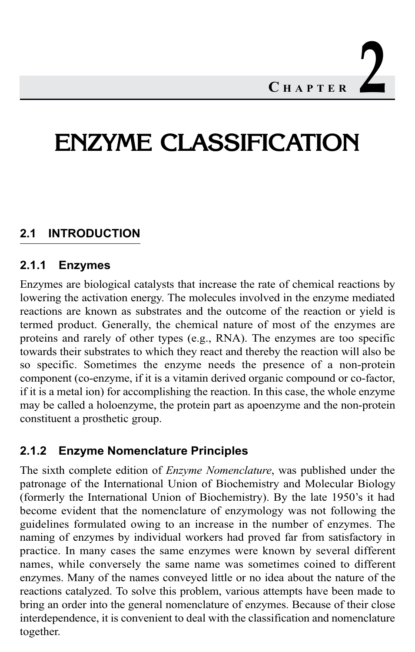# **ENZYME CLASSIFICATION**

#### $2.1$ **INTRODUCTION**

#### $2.1.1$ **Enzymes**

Enzymes are biological catalysts that increase the rate of chemical reactions by lowering the activation energy. The molecules involved in the enzyme mediated reactions are known as substrates and the outcome of the reaction or yield is termed product. Generally, the chemical nature of most of the enzymes are proteins and rarely of other types (e.g., RNA). The enzymes are too specific towards their substrates to which they react and thereby the reaction will also be so specific. Sometimes the enzyme needs the presence of a non-protein component (co-enzyme, if it is a vitamin derived organic compound or co-factor, if it is a metal ion) for accomplishing the reaction. In this case, the whole enzyme may be called a holoenzyme, the protein part as apoenzyme and the non-protein constituent a prosthetic group.

#### **Enzyme Nomenclature Principles** 2.1.2

The sixth complete edition of *Enzyme Nomenclature*, was published under the patronage of the International Union of Biochemistry and Molecular Biology (formerly the International Union of Biochemistry). By the late 1950's it had become evident that the nomenclature of enzymology was not following the guidelines formulated owing to an increase in the number of enzymes. The naming of enzymes by individual workers had proved far from satisfactory in practice. In many cases the same enzymes were known by several different names, while conversely the same name was sometimes coined to different enzymes. Many of the names conveyed little or no idea about the nature of the reactions catalyzed. To solve this problem, various attempts have been made to bring an order into the general nomenclature of enzymes. Because of their close interdependence, it is convenient to deal with the classification and nomenclature together.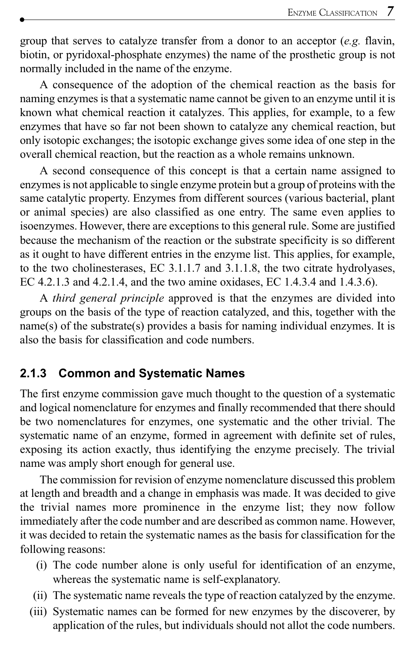group that serves to catalyze transfer from a donor to an acceptor (e.g. flavin, biotin, or pyridoxal-phosphate enzymes) the name of the prosthetic group is not normally included in the name of the enzyme.

A consequence of the adoption of the chemical reaction as the basis for naming enzymes is that a systematic name cannot be given to an enzyme until it is known what chemical reaction it catalyzes. This applies, for example, to a few enzymes that have so far not been shown to catalyze any chemical reaction, but only isotopic exchanges; the isotopic exchange gives some idea of one step in the overall chemical reaction, but the reaction as a whole remains unknown.

A second consequence of this concept is that a certain name assigned to enzymes is not applicable to single enzyme protein but a group of proteins with the same catalytic property. Enzymes from different sources (various bacterial, plant or animal species) are also classified as one entry. The same even applies to isoenzymes. However, there are exceptions to this general rule. Some are justified because the mechanism of the reaction or the substrate specificity is so different as it ought to have different entries in the enzyme list. This applies, for example, to the two cholinesterases, EC 3.1.1.7 and 3.1.1.8, the two citrate hydrolyases, EC 4.2.1.3 and 4.2.1.4, and the two amine oxidases, EC 1.4.3.4 and 1.4.3.6).

A third general principle approved is that the enzymes are divided into groups on the basis of the type of reaction catalyzed, and this, together with the  $name(s)$  of the substrate(s) provides a basis for naming individual enzymes. It is also the basis for classification and code numbers.

#### **Common and Systematic Names**  $2.1.3$

The first enzyme commission gave much thought to the question of a systematic and logical nomenclature for enzymes and finally recommended that there should be two nomenclatures for enzymes, one systematic and the other trivial. The systematic name of an enzyme, formed in agreement with definite set of rules, exposing its action exactly, thus identifying the enzyme precisely. The trivial name was amply short enough for general use.

The commission for revision of enzyme nomenclature discussed this problem at length and breadth and a change in emphasis was made. It was decided to give the trivial names more prominence in the enzyme list; they now follow immediately after the code number and are described as common name. However, it was decided to retain the systematic names as the basis for classification for the following reasons:

- (i) The code number alone is only useful for identification of an enzyme, whereas the systematic name is self-explanatory.
- (ii) The systematic name reveals the type of reaction catalyzed by the enzyme.
- (iii) Systematic names can be formed for new enzymes by the discoverer, by application of the rules, but individuals should not allot the code numbers.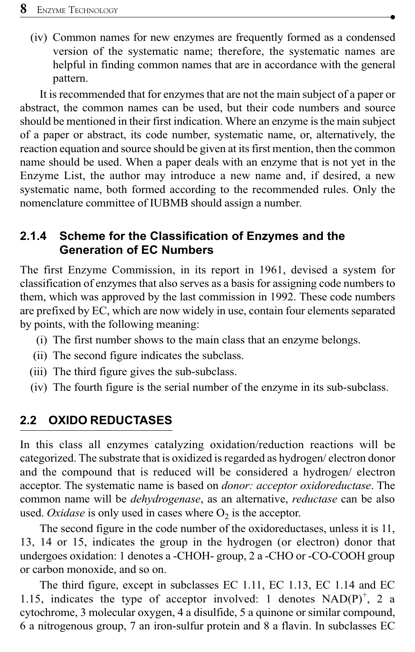(iv) Common names for new enzymes are frequently formed as a condensed version of the systematic name; therefore, the systematic names are helpful in finding common names that are in accordance with the general pattern.

It is recommended that for enzymes that are not the main subject of a paper or abstract, the common names can be used, but their code numbers and source should be mentioned in their first indication. Where an enzyme is the main subject of a paper or abstract, its code number, systematic name, or, alternatively, the reaction equation and source should be given at its first mention, then the common name should be used. When a paper deals with an enzyme that is not yet in the Enzyme List, the author may introduce a new name and, if desired, a new systematic name, both formed according to the recommended rules. Only the nomenclature committee of IUBMB should assign a number.

#### Scheme for the Classification of Enzymes and the  $2.1.4$ **Generation of EC Numbers**

The first Enzyme Commission, in its report in 1961, devised a system for classification of enzymes that also serves as a basis for assigning code numbers to them, which was approved by the last commission in 1992. These code numbers are prefixed by EC, which are now widely in use, contain four elements separated by points, with the following meaning:

- (i) The first number shows to the main class that an enzyme belongs.
- (ii) The second figure indicates the subclass.
- (iii) The third figure gives the sub-subclass.
- (iv) The fourth figure is the serial number of the enzyme in its sub-subclass.

#### $2.2$ **OXIDO REDUCTASES**

In this class all enzymes catalyzing oxidation/reduction reactions will be categorized. The substrate that is oxidized is regarded as hydrogen/electron donor and the compound that is reduced will be considered a hydrogen/ electron acceptor. The systematic name is based on *donor: acceptor oxidoreductase*. The common name will be *dehydrogenase*, as an alternative, *reductase* can be also used. Oxidase is only used in cases where  $O_2$  is the acceptor.

The second figure in the code number of the oxidoreductases, unless it is 11, 13, 14 or 15, indicates the group in the hydrogen (or electron) donor that undergoes oxidation: 1 denotes a -CHOH- group, 2 a -CHO or -CO-COOH group or carbon monoxide, and so on.

The third figure, except in subclasses EC 1.11, EC 1.13, EC 1.14 and EC 1.15, indicates the type of acceptor involved: 1 denotes  $NAD(P)^{+}$ , 2 a cytochrome, 3 molecular oxygen, 4 a disulfide, 5 a quinone or similar compound, 6 a nitrogenous group, 7 an iron-sulfur protein and 8 a flavin. In subclasses EC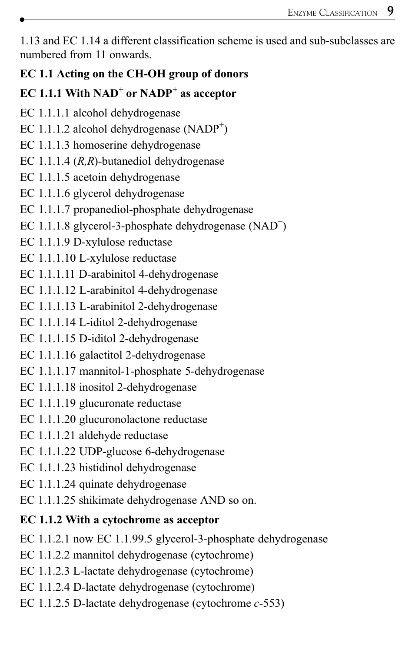1.13 and EC 1.14 a different classification scheme is used and sub-subclasses are numbered from 11 onwards.

# EC 1.1 Acting on the CH-OH group of donors

EC 1.1.1 With  $NAD^+$  or  $NADP^+$  as acceptor

- EC 1.1.1.1 alcohol dehydrogenase
- EC 1.1.1.2 alcohol dehydrogenase (NADP<sup>+</sup>)
- EC 1.1.1.3 homoserine dehydrogenase
- EC 1.1.1.4  $(R,R)$ -butanediol dehydrogenase
- EC 1.1.1.5 acetoin dehydrogenase
- EC 1.1.1.6 glycerol dehydrogenase
- EC 1.1.1.7 propanediol-phosphate dehydrogenase
- EC 1.1.1.8 glycerol-3-phosphate dehydrogenase  $(NAD^+)$
- EC 1.1.1.9 D-xylulose reductase
- EC 1.1.1.10 L-xylulose reductase
- EC 1.1.1.11 D-arabinitol 4-dehydrogenase
- EC 1.1.1.12 L-arabinitol 4-dehydrogenase
- EC 1.1.1.13 L-arabinitol 2-dehydrogenase
- EC 1.1.1.14 L-iditol 2-dehydrogenase
- EC 1.1.1.15 D-iditol 2-dehydrogenase
- EC 1.1.1.16 galactitol 2-dehydrogenase
- EC 1.1.1.17 mannitol-1-phosphate 5-dehydrogenase
- EC 1.1.1.18 inositol 2-dehydrogenase
- EC 1.1.1.19 glucuronate reductase
- EC 1.1.1.20 glucuronolactone reductase
- EC 1.1.1.21 aldehyde reductase
- EC 1.1.1.22 UDP-glucose 6-dehydrogenase
- EC 1.1.1.23 histidinol dehydrogenase
- EC 1.1.1.24 quinate dehydrogenase
- EC 1.1.1.25 shikimate dehydrogenase AND so on.

# EC 1.1.2 With a cytochrome as acceptor

- EC 1.1.2.1 now EC 1.1.99.5 glycerol-3-phosphate dehydrogenase
- EC 1.1.2.2 mannitol dehydrogenase (cytochrome)
- EC 1.1.2.3 L-lactate dehydrogenase (cytochrome)
- EC 1.1.2.4 D-lactate dehydrogenase (cytochrome)
- EC 1.1.2.5 D-lactate dehydrogenase (cytochrome  $c$ -553)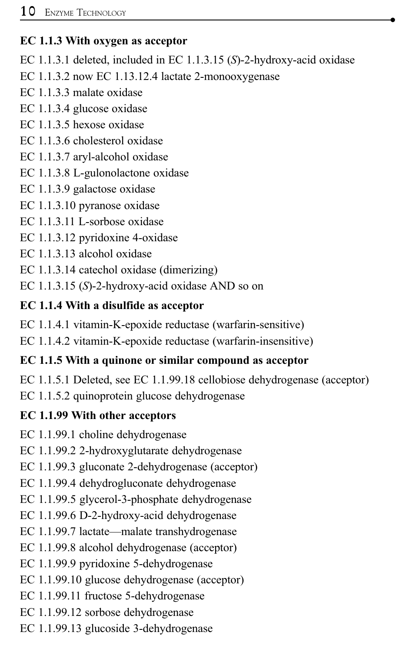# EC 1.1.3 With oxygen as acceptor

EC 1.1.3.1 deleted, included in EC 1.1.3.15 (S)-2-hydroxy-acid oxidase

- EC  $1.1.3.2$  now EC  $1.13.12.4$  lactate 2-monooxygenase
- EC 1.1.3.3 malate oxidase

EC 1.1.3.4 glucose oxidase

- EC 1.1.3.5 hexose oxidase
- EC 1.1.3.6 cholesterol oxidase
- EC 1.1.3.7 aryl-alcohol oxidase
- EC 1.1.3.8 L-gulonolactone oxidase
- EC 1.1.3.9 galactose oxidase
- EC 1.1.3.10 pyranose oxidase
- EC 1.1.3.11 L-sorbose oxidase
- EC 1.1.3.12 pyridoxine 4-oxidase
- EC 1.1.3.13 alcohol oxidase
- EC 1.1.3.14 catechol oxidase (dimerizing)

EC 1.1.3.15  $(S)$ -2-hydroxy-acid oxidase AND so on

# EC 1.1.4 With a disulfide as acceptor

- EC 1.1.4.1 vitamin-K-epoxide reductase (warfarin-sensitive)
- EC 1.1.4.2 vitamin-K-epoxide reductase (warfarin-insensitive)

# EC 1.1.5 With a quinone or similar compound as acceptor

EC 1.1.5.1 Deleted, see EC 1.1.99.18 cellobiose dehydrogenase (acceptor)

EC 1.1.5.2 quinoprotein glucose dehydrogenase

# EC 1.1.99 With other acceptors

- EC 1.1.99.1 choline dehydrogenase
- EC 1.1.99.2 2-hydroxyglutarate dehydrogenase
- EC 1.1.99.3 gluconate 2-dehydrogenase (acceptor)
- EC 1.1.99.4 dehydrogluconate dehydrogenase
- EC 1.1.99.5 glycerol-3-phosphate dehydrogenase
- EC 1.1.99.6 D-2-hydroxy-acid dehydrogenase
- EC 1.1.99.7 lactate—malate transhydrogenase
- EC 1.1.99.8 alcohol dehydrogenase (acceptor)
- EC 1.1.99.9 pyridoxine 5-dehydrogenase
- EC 1.1.99.10 glucose dehydrogenase (acceptor)
- EC 1.1.99.11 fructose 5-dehydrogenase
- EC 1.1.99.12 sorbose dehydrogenase
- EC 1.1.99.13 glucoside 3-dehydrogenase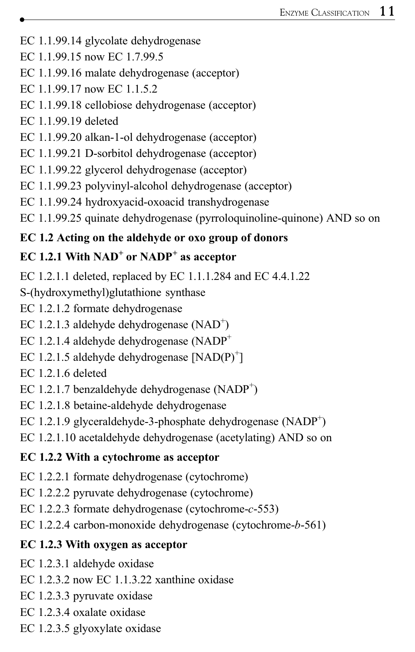- EC 1.1.99.14 glycolate dehydrogenase
- EC 1.1.99.15 now EC 1.7.99.5
- EC 1.1.99.16 malate dehydrogenase (acceptor)
- EC 1.1.99.17 now EC 1.1.5.2
- EC 1.1.99.18 cellobiose dehydrogenase (acceptor)
- EC 1.1.99.19 deleted
- EC 1.1.99.20 alkan-1-ol dehydrogenase (acceptor)
- EC 1.1.99.21 D-sorbitol dehydrogenase (acceptor)
- EC 1.1.99.22 glycerol dehydrogenase (acceptor)
- EC 1.1.99.23 polyvinyl-alcohol dehydrogenase (acceptor)
- EC 1.1.99.24 hydroxyacid-oxoacid transhydrogenase
- EC 1.1.99.25 quinate dehydrogenase (pyrrologuinoline-quinone) AND so on

# EC 1.2 Acting on the aldehyde or oxo group of donors

# EC 1.2.1 With  $NAD^+$  or  $NADP^+$  as acceptor

EC 1.2.1.1 deleted, replaced by EC 1.1.1.284 and EC 4.4.1.22

S-(hydroxymethyl)glutathione synthase

EC 1.2.1.2 formate dehydrogenase

- EC 1.2.1.3 aldehyde dehydrogenase  $(NAD^+)$
- EC 1.2.1.4 aldehyde dehydrogenase (NADP<sup>+</sup>
- EC 1.2.1.5 aldehyde dehydrogenase [NAD(P)<sup>+</sup>]
- EC 1.2.1.6 deleted
- EC 1.2.1.7 benzaldehyde dehydrogenase (NADP<sup>+</sup>)
- EC 1.2.1.8 betaine-aldehyde dehydrogenase
- EC 1.2.1.9 glyceraldehyde-3-phosphate dehydrogenase  $(NADP<sup>+</sup>)$
- EC 1.2.1.10 acetaldehyde dehydrogenase (acetylating) AND so on

# EC 1.2.2 With a cytochrome as acceptor

- EC 1.2.2.1 formate dehydrogenase (cytochrome)
- EC 1.2.2.2 pyruvate dehydrogenase (cytochrome)
- EC 1.2.2.3 formate dehydrogenase (cytochrome-c-553)
- EC 1.2.2.4 carbon-monoxide dehydrogenase (cytochrome-b-561)

# EC 1.2.3 With oxygen as acceptor

- EC 1.2.3.1 aldehyde oxidase
- EC 1.2.3.2 now EC 1.1.3.22 xanthine oxidase
- EC 1.2.3.3 pyruvate oxidase
- EC 1.2.3.4 oxalate oxidase
- EC 1.2.3.5 glyoxylate oxidase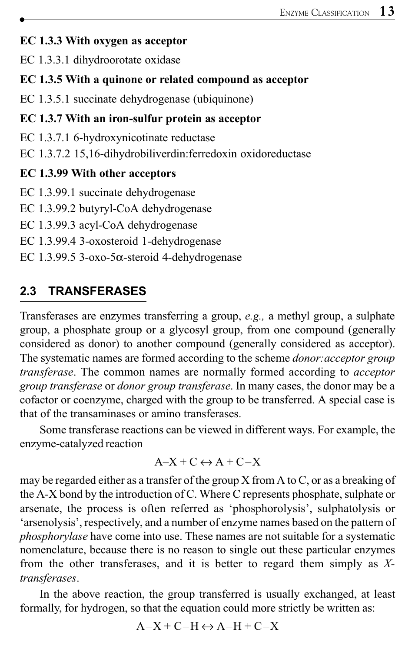### EC 1.3.3 With oxygen as acceptor

EC 1.3.3.1 dihydroorotate oxidase

### EC 1.3.5 With a quinone or related compound as acceptor

EC 1.3.5.1 succinate dehydrogenase (ubiquinone)

### EC 1.3.7 With an iron-sulfur protein as acceptor

EC 1.3.7.1 6-hydroxynicotinate reductase

EC 1.3.7.2 15,16-dihydrobiliverdin:ferredoxin oxidoreductase

### EC 1.3.99 With other acceptors

EC 1.3.99.1 succinate dehydrogenase

EC 1.3.99.2 butyryl-CoA dehydrogenase

EC 1.3.99.3 acyl-CoA dehydrogenase

EC 1.3.99.4 3-oxosteroid 1-dehydrogenase

EC 1.3.99.5 3-oxo-5 $\alpha$ -steroid 4-dehydrogenase

#### $2.3$ **TRANSFERASES**

Transferases are enzymes transferring a group, e.g., a methyl group, a sulphate group, a phosphate group or a glycosyl group, from one compound (generally considered as donor) to another compound (generally considered as acceptor). The systematic names are formed according to the scheme *donor: acceptor group* transferase. The common names are normally formed according to acceptor group transferase or donor group transferase. In many cases, the donor may be a cofactor or coenzyme, charged with the group to be transferred. A special case is that of the transaminases or amino transferases.

Some transferase reactions can be viewed in different ways. For example, the enzyme-catalyzed reaction

$$
A-X + C \leftrightarrow A + C-X
$$

may be regarded either as a transfer of the group X from A to C, or as a breaking of the A-X bond by the introduction of C. Where C represents phosphate, sulphate or arsenate, the process is often referred as 'phosphorolysis', sulphatolysis or 'arsenolysis', respectively, and a number of enzyme names based on the pattern of phosphorylase have come into use. These names are not suitable for a systematic nomenclature, because there is no reason to single out these particular enzymes from the other transferases, and it is better to regard them simply as  $X$ transferases.

In the above reaction, the group transferred is usually exchanged, at least formally, for hydrogen, so that the equation could more strictly be written as:

 $A-X+C-H \leftrightarrow A-H+C-X$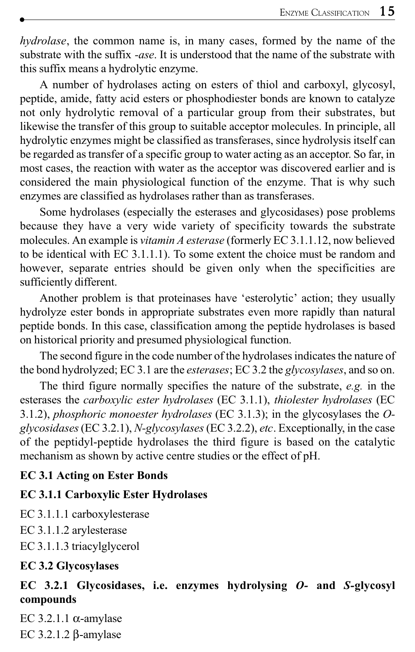hydrolase, the common name is, in many cases, formed by the name of the substrate with the suffix -ase. It is understood that the name of the substrate with this suffix means a hydrolytic enzyme.

A number of hydrolases acting on esters of thiol and carboxyl, glycosyl, peptide, amide, fatty acid esters or phosphodiester bonds are known to catalyze not only hydrolytic removal of a particular group from their substrates, but likewise the transfer of this group to suitable acceptor molecules. In principle, all hydrolytic enzymes might be classified as transferases, since hydrolysis itself can be regarded as transfer of a specific group to water acting as an acceptor. So far, in most cases, the reaction with water as the acceptor was discovered earlier and is considered the main physiological function of the enzyme. That is why such enzymes are classified as hydrolases rather than as transferases.

Some hydrolases (especially the esterases and glycosidases) pose problems because they have a very wide variety of specificity towards the substrate molecules. An example is *vitamin A esterase* (formerly EC 3.1.1.12, now believed to be identical with EC 3.1.1.1). To some extent the choice must be random and however, separate entries should be given only when the specificities are sufficiently different.

Another problem is that proteinases have 'esterolytic' action; they usually hydrolyze ester bonds in appropriate substrates even more rapidly than natural peptide bonds. In this case, classification among the peptide hydrolases is based on historical priority and presumed physiological function.

The second figure in the code number of the hydrolases indicates the nature of the bond hydrolyzed; EC 3.1 are the esterases; EC 3.2 the glycosylases, and so on.

The third figure normally specifies the nature of the substrate, e.g. in the esterases the *carboxylic ester hydrolases* (EC 3.1.1), *thiolester hydrolases* (EC 3.1.2), phosphoric monoester hydrolases (EC 3.1.3); in the glycosylases the  $O$ glycosidases (EC 3.2.1), N-glycosylases (EC 3.2.2), etc. Exceptionally, in the case of the peptidyl-peptide hydrolases the third figure is based on the catalytic mechanism as shown by active centre studies or the effect of pH.

### **EC 3.1 Acting on Ester Bonds**

### **EC 3.1.1 Carboxylic Ester Hydrolases**

EC 3.1.1.1 carboxylesterase

EC 3.1.1.2 arylesterase

EC 3.1.1.3 triacylglycerol

### **EC 3.2 Glycosylases**

### EC 3.2.1 Glycosidases, i.e. enzymes hydrolysing  $O$ - and S-glycosyl compounds

EC 3.2.1.1  $\alpha$ -amylase EC 3.2.1.2  $\beta$ -amylase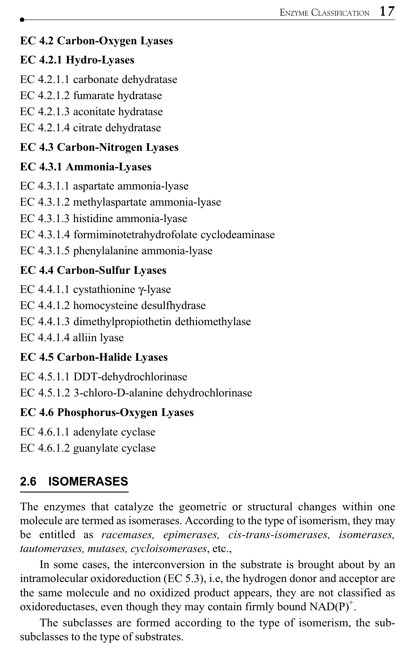### **EC 4.2 Carbon-Oxygen Lyases**

### EC 4.2.1 Hydro-Lyases

- EC 4.2.1.1 carbonate dehydratase
- EC 4.2.1.2 fumarate hydratase
- EC 4.2.1.3 aconitate hydratase
- EC 4.2.1.4 citrate dehydratase

# **EC 4.3 Carbon-Nitrogen Lyases**

# **EC 4.3.1 Ammonia-Lyases**

- EC 4.3.1.1 aspartate ammonia-lyase
- EC 4.3.1.2 methylaspartate ammonia-lyase
- EC 4.3.1.3 histidine ammonia-lyase
- EC 4.3.1.4 formiminotetrahydrofolate cyclodeaminase
- EC 4.3.1.5 phenylalanine ammonia-lyase

# **EC 4.4 Carbon-Sulfur Lyases**

- EC 4.4.1.1 cystathionine  $\gamma$ -lyase
- EC 4.4.1.2 homocysteine desulfhydrase
- EC 4.4.1.3 dimethylpropiothetin dethiomethylase
- $EC$  4.4.1.4 alliin lyase

# **EC 4.5 Carbon-Halide Lyases**

- EC 4.5.1.1 DDT-dehydrochlorinase
- EC 4.5.1.2 3-chloro-D-alanine dehydrochlorinase

# **EC 4.6 Phosphorus-Oxygen Lyases**

- EC 4.6.1.1 adenylate cyclase
- EC 4.6.1.2 guanylate cyclase

#### $2.6$ **ISOMERASES**

The enzymes that catalyze the geometric or structural changes within one molecule are termed as isomerases. According to the type of isomerism, they may be entitled as racemases, epimerases, cis-trans-isomerases, isomerases, tautomerases, mutases, cycloisomerases, etc.,

In some cases, the interconversion in the substrate is brought about by an intramolecular oxidoreduction (EC 5.3), i.e. the hydrogen donor and acceptor are the same molecule and no oxidized product appears, they are not classified as oxidoreductases, even though they may contain firmly bound  $NAD(P)^+$ .

The subclasses are formed according to the type of isomerism, the subsubclasses to the type of substrates.